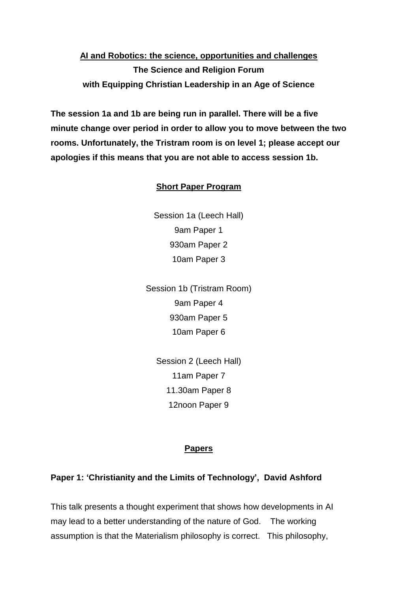# **AI and Robotics: the science, opportunities and challenges The Science and Religion Forum with Equipping Christian Leadership in an Age of Science**

**The session 1a and 1b are being run in parallel. There will be a five minute change over period in order to allow you to move between the two rooms. Unfortunately, the Tristram room is on level 1; please accept our apologies if this means that you are not able to access session 1b.**

#### **Short Paper Program**

Session 1a (Leech Hall) 9am Paper 1 930am Paper 2 10am Paper 3

Session 1b (Tristram Room) 9am Paper 4 930am Paper 5 10am Paper 6

Session 2 (Leech Hall) 11am Paper 7 11.30am Paper 8 12noon Paper 9

#### **Papers**

#### **Paper 1: 'Christianity and the Limits of Technology', David Ashford**

This talk presents a thought experiment that shows how developments in AI may lead to a better understanding of the nature of God. The working assumption is that the Materialism philosophy is correct. This philosophy,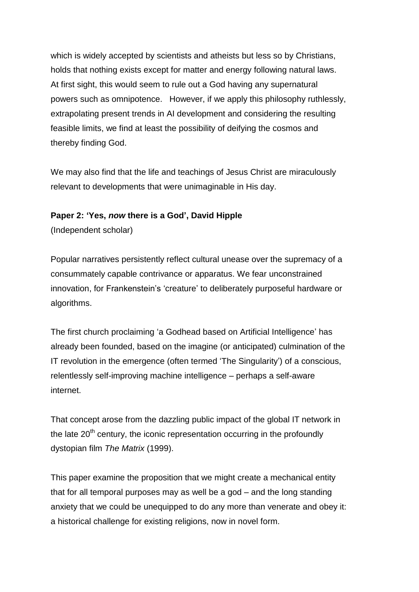which is widely accepted by scientists and atheists but less so by Christians, holds that nothing exists except for matter and energy following natural laws. At first sight, this would seem to rule out a God having any supernatural powers such as omnipotence. However, if we apply this philosophy ruthlessly, extrapolating present trends in AI development and considering the resulting feasible limits, we find at least the possibility of deifying the cosmos and thereby finding God.

We may also find that the life and teachings of Jesus Christ are miraculously relevant to developments that were unimaginable in His day.

#### **Paper 2: 'Yes,** *now* **there is a God', David Hipple**

(Independent scholar)

Popular narratives persistently reflect cultural unease over the supremacy of a consummately capable contrivance or apparatus. We fear unconstrained innovation, for Frankenstein's 'creature' to deliberately purposeful hardware or algorithms.

The first church proclaiming 'a Godhead based on Artificial Intelligence' has already been founded, based on the imagine (or anticipated) culmination of the IT revolution in the emergence (often termed 'The Singularity') of a conscious, relentlessly self-improving machine intelligence – perhaps a self-aware internet.

That concept arose from the dazzling public impact of the global IT network in the late  $20<sup>th</sup>$  century, the iconic representation occurring in the profoundly dystopian film *The Matrix* (1999).

This paper examine the proposition that we might create a mechanical entity that for all temporal purposes may as well be a god – and the long standing anxiety that we could be unequipped to do any more than venerate and obey it: a historical challenge for existing religions, now in novel form.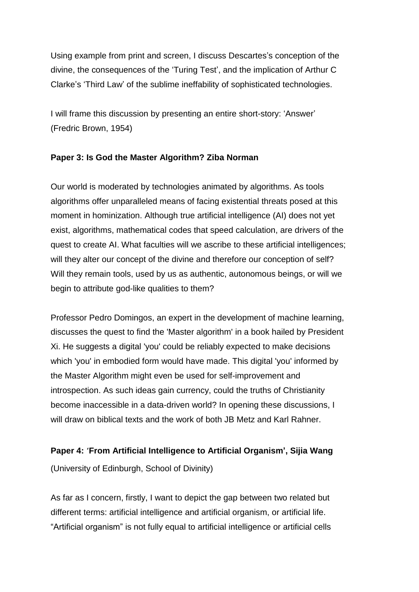Using example from print and screen, I discuss Descartes's conception of the divine, the consequences of the 'Turing Test', and the implication of Arthur C Clarke's 'Third Law' of the sublime ineffability of sophisticated technologies.

I will frame this discussion by presenting an entire short-story: 'Answer' (Fredric Brown, 1954)

#### **Paper 3: Is God the Master Algorithm? Ziba Norman**

Our world is moderated by technologies animated by algorithms. As tools algorithms offer unparalleled means of facing existential threats posed at this moment in hominization. Although true artificial intelligence (AI) does not yet exist, algorithms, mathematical codes that speed calculation, are drivers of the quest to create AI. What faculties will we ascribe to these artificial intelligences; will they alter our concept of the divine and therefore our conception of self? Will they remain tools, used by us as authentic, autonomous beings, or will we begin to attribute god-like qualities to them?

Professor Pedro Domingos, an expert in the development of machine learning, discusses the quest to find the 'Master algorithm' in a book hailed by President Xi. He suggests a digital 'you' could be reliably expected to make decisions which 'you' in embodied form would have made. This digital 'you' informed by the Master Algorithm might even be used for self-improvement and introspection. As such ideas gain currency, could the truths of Christianity become inaccessible in a data-driven world? In opening these discussions, I will draw on biblical texts and the work of both JB Metz and Karl Rahner.

#### **Paper 4: 'From Artificial Intelligence to Artificial Organism', Sijia Wang**

(University of Edinburgh, School of Divinity)

As far as I concern, firstly, I want to depict the gap between two related but different terms: artificial intelligence and artificial organism, or artificial life. "Artificial organism" is not fully equal to artificial intelligence or artificial cells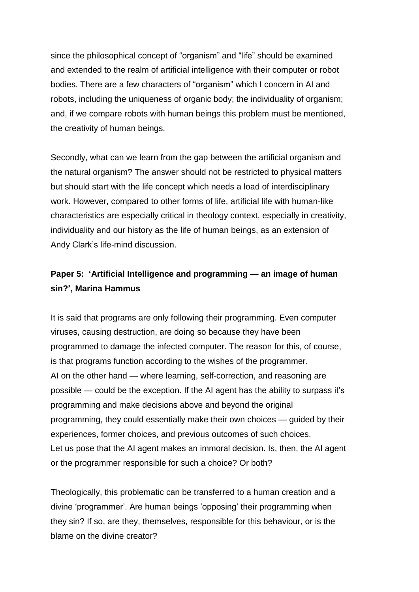since the philosophical concept of "organism" and "life" should be examined and extended to the realm of artificial intelligence with their computer or robot bodies. There are a few characters of "organism" which I concern in AI and robots, including the uniqueness of organic body; the individuality of organism; and, if we compare robots with human beings this problem must be mentioned, the creativity of human beings.

Secondly, what can we learn from the gap between the artificial organism and the natural organism? The answer should not be restricted to physical matters but should start with the life concept which needs a load of interdisciplinary work. However, compared to other forms of life, artificial life with human-like characteristics are especially critical in theology context, especially in creativity, individuality and our history as the life of human beings, as an extension of Andy Clark's life-mind discussion.

## **Paper 5: 'Artificial Intelligence and programming — an image of human sin?', Marina Hammus**

It is said that programs are only following their programming. Even computer viruses, causing destruction, are doing so because they have been programmed to damage the infected computer. The reason for this, of course, is that programs function according to the wishes of the programmer. AI on the other hand — where learning, self-correction, and reasoning are possible — could be the exception. If the AI agent has the ability to surpass it's programming and make decisions above and beyond the original programming, they could essentially make their own choices — guided by their experiences, former choices, and previous outcomes of such choices. Let us pose that the AI agent makes an immoral decision. Is, then, the AI agent or the programmer responsible for such a choice? Or both?

Theologically, this problematic can be transferred to a human creation and a divine 'programmer'. Are human beings 'opposing' their programming when they sin? If so, are they, themselves, responsible for this behaviour, or is the blame on the divine creator?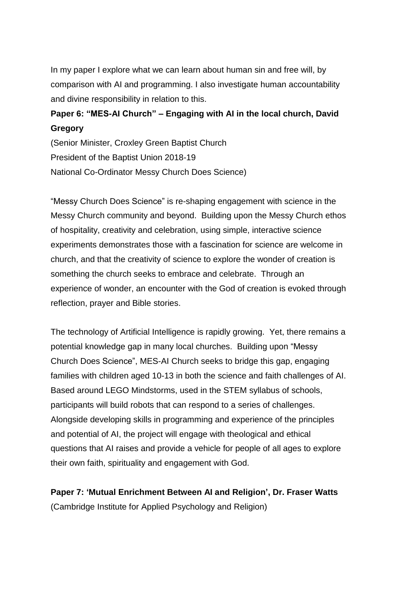In my paper I explore what we can learn about human sin and free will, by comparison with AI and programming. I also investigate human accountability and divine responsibility in relation to this.

## **Paper 6: "MES-AI Church" – Engaging with AI in the local church, David Gregory**

(Senior Minister, Croxley Green Baptist Church President of the Baptist Union 2018-19 National Co-Ordinator Messy Church Does Science)

"Messy Church Does Science" is re-shaping engagement with science in the Messy Church community and beyond. Building upon the Messy Church ethos of hospitality, creativity and celebration, using simple, interactive science experiments demonstrates those with a fascination for science are welcome in church, and that the creativity of science to explore the wonder of creation is something the church seeks to embrace and celebrate. Through an experience of wonder, an encounter with the God of creation is evoked through reflection, prayer and Bible stories.

The technology of Artificial Intelligence is rapidly growing. Yet, there remains a potential knowledge gap in many local churches. Building upon "Messy Church Does Science", MES-AI Church seeks to bridge this gap, engaging families with children aged 10-13 in both the science and faith challenges of AI. Based around LEGO Mindstorms, used in the STEM syllabus of schools, participants will build robots that can respond to a series of challenges. Alongside developing skills in programming and experience of the principles and potential of AI, the project will engage with theological and ethical questions that AI raises and provide a vehicle for people of all ages to explore their own faith, spirituality and engagement with God.

**Paper 7: 'Mutual Enrichment Between AI and Religion', Dr. Fraser Watts** (Cambridge Institute for Applied Psychology and Religion)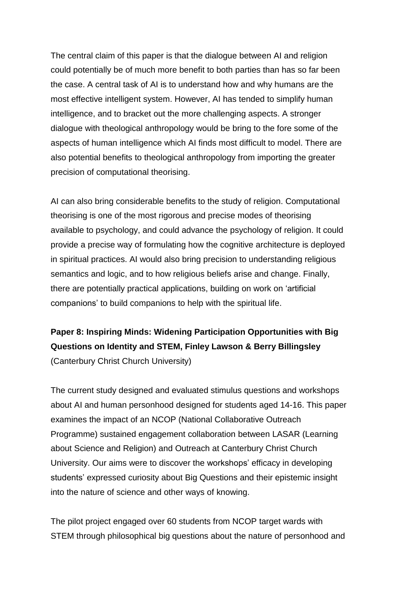The central claim of this paper is that the dialogue between AI and religion could potentially be of much more benefit to both parties than has so far been the case. A central task of AI is to understand how and why humans are the most effective intelligent system. However, AI has tended to simplify human intelligence, and to bracket out the more challenging aspects. A stronger dialogue with theological anthropology would be bring to the fore some of the aspects of human intelligence which AI finds most difficult to model. There are also potential benefits to theological anthropology from importing the greater precision of computational theorising.

AI can also bring considerable benefits to the study of religion. Computational theorising is one of the most rigorous and precise modes of theorising available to psychology, and could advance the psychology of religion. It could provide a precise way of formulating how the cognitive architecture is deployed in spiritual practices. AI would also bring precision to understanding religious semantics and logic, and to how religious beliefs arise and change. Finally, there are potentially practical applications, building on work on 'artificial companions' to build companions to help with the spiritual life.

**Paper 8: Inspiring Minds: Widening Participation Opportunities with Big Questions on Identity and STEM, Finley Lawson & Berry Billingsley** (Canterbury Christ Church University)

The current study designed and evaluated stimulus questions and workshops about AI and human personhood designed for students aged 14-16. This paper examines the impact of an NCOP (National Collaborative Outreach Programme) sustained engagement collaboration between LASAR (Learning about Science and Religion) and Outreach at Canterbury Christ Church University. Our aims were to discover the workshops' efficacy in developing students' expressed curiosity about Big Questions and their epistemic insight into the nature of science and other ways of knowing.

The pilot project engaged over 60 students from NCOP target wards with STEM through philosophical big questions about the nature of personhood and